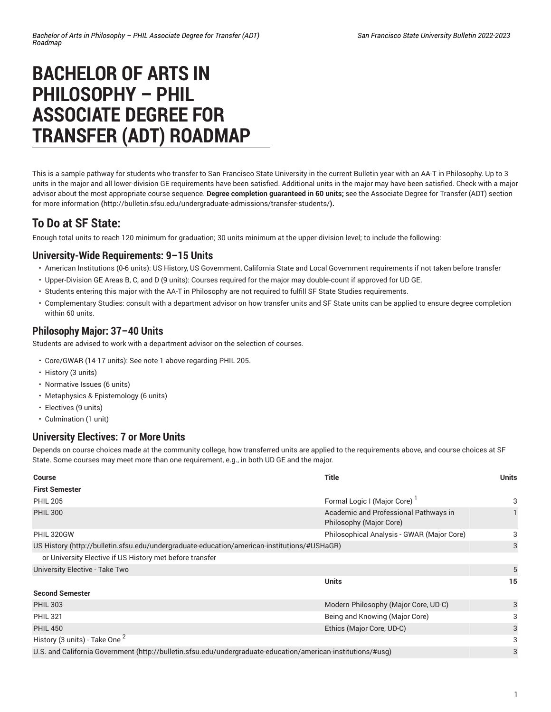# **BACHELOR OF ARTS IN PHILOSOPHY – PHIL ASSOCIATE DEGREE FOR TRANSFER (ADT) ROADMAP**

This is a sample pathway for students who transfer to San Francisco State University in the current Bulletin year with an AA-T in Philosophy. Up to 3 units in the major and all lower-division GE requirements have been satisfied. Additional units in the major may have been satisfied. Check with a major advisor about the most appropriate course sequence. **Degree completion guaranteed in 60 units;** see the [Associate](http://bulletin.sfsu.edu/undergraduate-admissions/transfer-students/) Degree for Transfer (ADT) section for more [information](http://bulletin.sfsu.edu/undergraduate-admissions/transfer-students/) **(**<http://bulletin.sfsu.edu/undergraduate-admissions/transfer-students/>**).**

## **To Do at SF State:**

Enough total units to reach 120 minimum for graduation; 30 units minimum at the upper-division level; to include the following:

#### **University-Wide Requirements: 9–15 Units**

- American Institutions (0-6 units): US History, US Government, California State and Local Government requirements if not taken before transfer
- Upper-Division GE Areas B, C, and D (9 units): Courses required for the major may double-count if approved for UD GE.
- Students entering this major with the AA-T in Philosophy are not required to fulfill SF State Studies requirements.
- Complementary Studies: consult with a department advisor on how transfer units and SF State units can be applied to ensure degree completion within 60 units.

#### **Philosophy Major: 37–40 Units**

Students are advised to work with a department advisor on the selection of courses.

- Core/GWAR (14-17 units): See note 1 above regarding PHIL 205.
- History (3 units)
- Normative Issues (6 units)
- Metaphysics & Epistemology (6 units)
- Electives (9 units)
- Culmination (1 unit)

#### **University Electives: 7 or More Units**

Depends on course choices made at the community college, how transferred units are applied to the requirements above, and course choices at SF State. Some courses may meet more than one requirement, e.g., in both UD GE and the major.

| <b>Course</b>                                                                                                | <b>Title</b>                                                     | <b>Units</b> |
|--------------------------------------------------------------------------------------------------------------|------------------------------------------------------------------|--------------|
| <b>First Semester</b>                                                                                        |                                                                  |              |
| <b>PHIL 205</b>                                                                                              | Formal Logic I (Major Core) <sup>1</sup>                         | 3            |
| <b>PHIL 300</b>                                                                                              | Academic and Professional Pathways in<br>Philosophy (Major Core) |              |
| PHIL 320GW                                                                                                   | Philosophical Analysis - GWAR (Major Core)                       | 3            |
| US History (http://bulletin.sfsu.edu/undergraduate-education/american-institutions/#USHaGR)                  |                                                                  |              |
| or University Elective if US History met before transfer                                                     |                                                                  |              |
| University Elective - Take Two                                                                               |                                                                  | 5            |
|                                                                                                              | <b>Units</b>                                                     | 15           |
| <b>Second Semester</b>                                                                                       |                                                                  |              |
| <b>PHIL 303</b>                                                                                              | Modern Philosophy (Major Core, UD-C)                             | 3            |
| <b>PHIL 321</b>                                                                                              | Being and Knowing (Major Core)                                   | 3            |
| <b>PHIL 450</b>                                                                                              | Ethics (Major Core, UD-C)                                        | 3            |
| History (3 units) - Take One <sup>2</sup>                                                                    |                                                                  | 3            |
| U.S. and California Government (http://bulletin.sfsu.edu/undergraduate-education/american-institutions/#usg) |                                                                  |              |
|                                                                                                              |                                                                  |              |